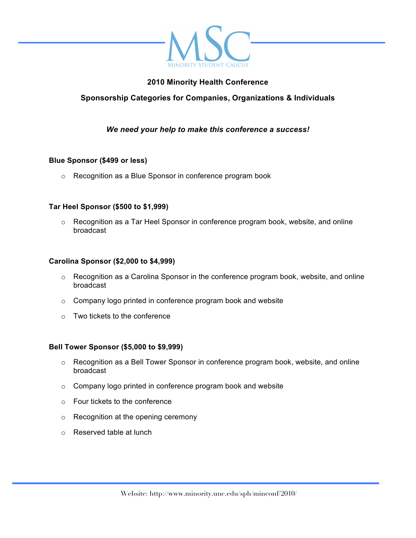

## **2010 Minority Health Conference**

# **Sponsorship Categories for Companies, Organizations & Individuals**

## *We need your help to make this conference a success!*

### **Blue Sponsor (\$499 or less)**

o Recognition as a Blue Sponsor in conference program book

#### **Tar Heel Sponsor (\$500 to \$1,999)**

 $\circ$  Recognition as a Tar Heel Sponsor in conference program book, website, and online broadcast

#### **Carolina Sponsor (\$2,000 to \$4,999)**

- o Recognition as a Carolina Sponsor in the conference program book, website, and online broadcast
- o Company logo printed in conference program book and website
- $\circ$  Two tickets to the conference

#### **Bell Tower Sponsor (\$5,000 to \$9,999)**

- o Recognition as a Bell Tower Sponsor in conference program book, website, and online broadcast
- o Company logo printed in conference program book and website
- o Four tickets to the conference
- o Recognition at the opening ceremony
- o Reserved table at lunch